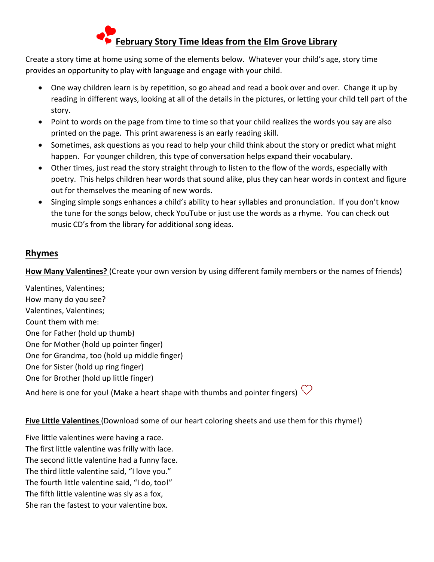# **February Story Time Ideas from the Elm Grove Library**

Create a story time at home using some of the elements below. Whatever your child's age, story time provides an opportunity to play with language and engage with your child.

- One way children learn is by repetition, so go ahead and read a book over and over. Change it up by reading in different ways, looking at all of the details in the pictures, or letting your child tell part of the story.
- Point to words on the page from time to time so that your child realizes the words you say are also printed on the page. This print awareness is an early reading skill.
- Sometimes, ask questions as you read to help your child think about the story or predict what might happen. For younger children, this type of conversation helps expand their vocabulary.
- Other times, just read the story straight through to listen to the flow of the words, especially with poetry. This helps children hear words that sound alike, plus they can hear words in context and figure out for themselves the meaning of new words.
- Singing simple songs enhances a child's ability to hear syllables and pronunciation. If you don't know the tune for the songs below, check YouTube or just use the words as a rhyme. You can check out music CD's from the library for additional song ideas.

# **Rhymes**

**How Many Valentines?** (Create your own version by using different family members or the names of friends)

Valentines, Valentines; How many do you see? Valentines, Valentines; Count them with me: One for Father (hold up thumb) One for Mother (hold up pointer finger) One for Grandma, too (hold up middle finger) One for Sister (hold up ring finger) One for Brother (hold up little finger)

And here is one for you! (Make a heart shape with thumbs and pointer fingers)  $\heartsuit$ 

# **Five Little Valentines** (Download some of our heart coloring sheets and use them for this rhyme!)

Five little valentines were having a race. The first little valentine was frilly with lace. The second little valentine had a funny face. The third little valentine said, "I love you." The fourth little valentine said, "I do, too!" The fifth little valentine was sly as a fox, She ran the fastest to your valentine box.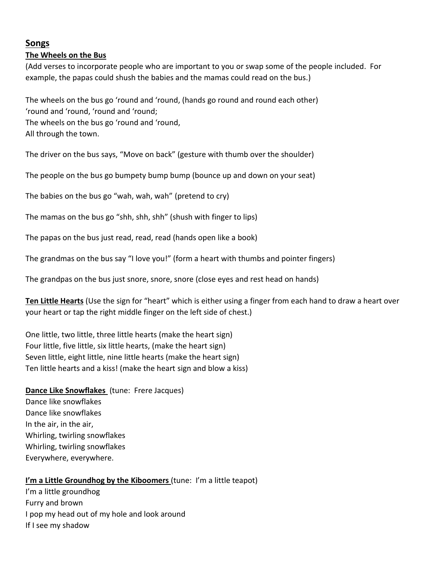## **Songs**

#### **The Wheels on the Bus**

(Add verses to incorporate people who are important to you or swap some of the people included. For example, the papas could shush the babies and the mamas could read on the bus.)

The wheels on the bus go 'round and 'round, (hands go round and round each other) 'round and 'round, 'round and 'round; The wheels on the bus go 'round and 'round, All through the town.

The driver on the bus says, "Move on back" (gesture with thumb over the shoulder)

The people on the bus go bumpety bump bump (bounce up and down on your seat)

The babies on the bus go "wah, wah, wah" (pretend to cry)

The mamas on the bus go "shh, shh, shh" (shush with finger to lips)

The papas on the bus just read, read, read (hands open like a book)

The grandmas on the bus say "I love you!" (form a heart with thumbs and pointer fingers)

The grandpas on the bus just snore, snore, snore (close eyes and rest head on hands)

**Ten Little Hearts** (Use the sign for "heart" which is either using a finger from each hand to draw a heart over your heart or tap the right middle finger on the left side of chest.)

One little, two little, three little hearts (make the heart sign) Four little, five little, six little hearts, (make the heart sign) Seven little, eight little, nine little hearts (make the heart sign) Ten little hearts and a kiss! (make the heart sign and blow a kiss)

**Dance Like Snowflakes** (tune: Frere Jacques) Dance like snowflakes Dance like snowflakes In the air, in the air, Whirling, twirling snowflakes Whirling, twirling snowflakes Everywhere, everywhere.

#### **I'm a Little Groundhog by the Kiboomers** (tune: I'm a little teapot)

I'm a little groundhog Furry and brown I pop my head out of my hole and look around If I see my shadow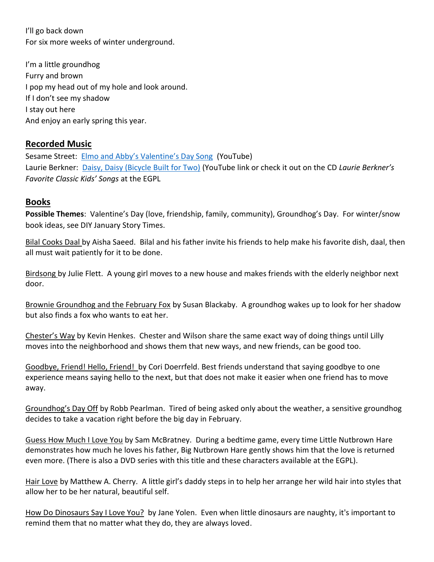I'll go back down For six more weeks of winter underground.

I'm a little groundhog Furry and brown I pop my head out of my hole and look around. If I don't see my shadow I stay out here And enjoy an early spring this year.

## **Recorded Music**

Sesame Street: [Elmo and Abby's Valentine's Day Song](https://www.youtube.com/watch?v=RlgnnIKMb5U) (YouTube) Laurie Berkner: [Daisy, Daisy \(Bicycle Built for Two\)](https://www.youtube.com/watch?v=z2K62UqOHrs) (YouTube link or check it out on the CD *Laurie Berkner's Favorite Classic Kids' Songs* at the EGPL

## **Books**

**Possible Themes**: Valentine's Day (love, friendship, family, community), Groundhog's Day. For winter/snow book ideas, see DIY January Story Times.

Bilal Cooks Daal by Aisha Saeed. Bilal and his father invite his friends to help make his favorite dish, daal, then all must wait patiently for it to be done.

Birdsong by Julie Flett. A young girl moves to a new house and makes friends with the elderly neighbor next door.

Brownie Groundhog and the February Fox by Susan Blackaby. A groundhog wakes up to look for her shadow but also finds a fox who wants to eat her.

Chester's Way by Kevin Henkes. Chester and Wilson share the same exact way of doing things until Lilly moves into the neighborhood and shows them that new ways, and new friends, can be good too.

Goodbye, Friend! Hello, Friend! by Cori Doerrfeld. Best friends understand that saying goodbye to one experience means saying hello to the next, but that does not make it easier when one friend has to move away.

Groundhog's Day Off by Robb Pearlman. Tired of being asked only about the weather, a sensitive groundhog decides to take a vacation right before the big day in February.

Guess How Much I Love You by Sam McBratney. During a bedtime game, every time Little Nutbrown Hare demonstrates how much he loves his father, Big Nutbrown Hare gently shows him that the love is returned even more. (There is also a DVD series with this title and these characters available at the EGPL).

Hair Love by Matthew A. Cherry. A little girl's daddy steps in to help her arrange her wild hair into styles that allow her to be her natural, beautiful self.

How Do Dinosaurs Say I Love You? by Jane Yolen. Even when little dinosaurs are naughty, it's important to remind them that no matter what they do, they are always loved.